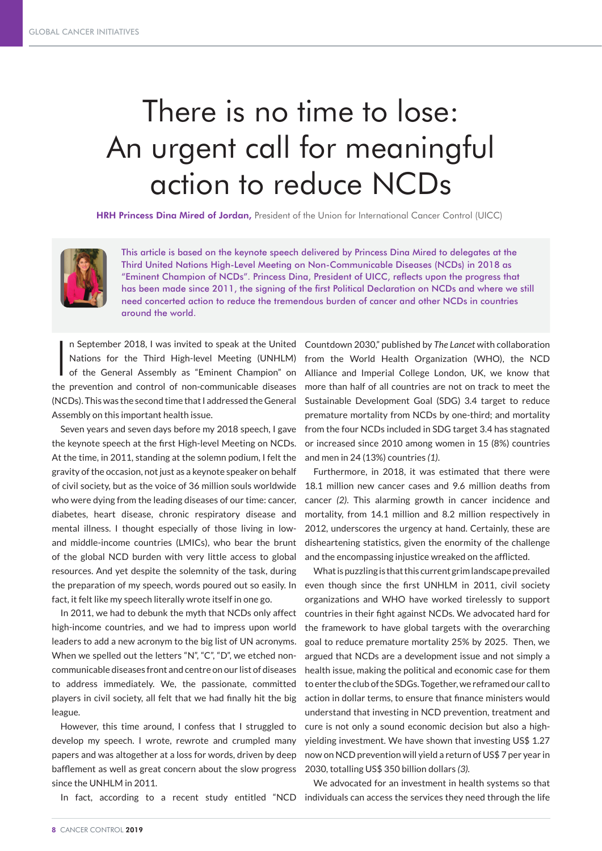## There is no time to lose: An urgent call for meaningful action to reduce NCDs

HRH Princess Dina Mired of Jordan, President of the Union for International Cancer Control (UICC)



This article is based on the keynote speech delivered by Princess Dina Mired to delegates at the Third United Nations High-Level Meeting on Non-Communicable Diseases (NCDs) in 2018 as "Eminent Champion of NCDs". Princess Dina, President of UICC, reflects upon the progress that has been made since 2011, the signing of the first Political Declaration on NCDs and where we still need concerted action to reduce the tremendous burden of cancer and other NCDs in countries around the world.

 $\mathbf{I}$ Nations for the Third High-level Meeting (UNHLM) of the General Assembly as "Eminent Champion" on the prevention and control of non-communicable diseases (NCDs). This was the second time that I addressed the General Assembly on this important health issue.

Seven years and seven days before my 2018 speech, I gave the keynote speech at the first High-level Meeting on NCDs. At the time, in 2011, standing at the solemn podium, I felt the gravity of the occasion, not just as a keynote speaker on behalf of civil society, but as the voice of 36 million souls worldwide who were dying from the leading diseases of our time: cancer, diabetes, heart disease, chronic respiratory disease and mental illness. I thought especially of those living in lowand middle-income countries (LMICs), who bear the brunt of the global NCD burden with very little access to global resources. And yet despite the solemnity of the task, during the preparation of my speech, words poured out so easily. In fact, it felt like my speech literally wrote itself in one go.

In 2011, we had to debunk the myth that NCDs only affect high-income countries, and we had to impress upon world leaders to add a new acronym to the big list of UN acronyms. When we spelled out the letters "N", "C", "D", we etched noncommunicable diseases front and centre on our list of diseases to address immediately. We, the passionate, committed players in civil society, all felt that we had finally hit the big league.

However, this time around, I confess that I struggled to develop my speech. I wrote, rewrote and crumpled many papers and was altogether at a loss for words, driven by deep bafflement as well as great concern about the slow progress since the UNHLM in 2011.

n September 2018, I was invited to speak at the United Countdown 2030," published by *The Lancet* with collaboration from the World Health Organization (WHO), the NCD Alliance and Imperial College London, UK, we know that more than half of all countries are not on track to meet the Sustainable Development Goal (SDG) 3.4 target to reduce premature mortality from NCDs by one-third; and mortality from the four NCDs included in SDG target 3.4 has stagnated or increased since 2010 among women in 15 (8%) countries and men in 24 (13%) countries *(1)*.

> Furthermore, in 2018, it was estimated that there were 18.1 million new cancer cases and 9.6 million deaths from cancer *(2)*. This alarming growth in cancer incidence and mortality, from 14.1 million and 8.2 million respectively in 2012, underscores the urgency at hand. Certainly, these are disheartening statistics, given the enormity of the challenge and the encompassing injustice wreaked on the afflicted.

> What is puzzling is that this current grim landscape prevailed even though since the first UNHLM in 2011, civil society organizations and WHO have worked tirelessly to support countries in their fight against NCDs. We advocated hard for the framework to have global targets with the overarching goal to reduce premature mortality 25% by 2025. Then, we argued that NCDs are a development issue and not simply a health issue, making the political and economic case for them to enter the club of the SDGs. Together, we reframed our call to action in dollar terms, to ensure that finance ministers would understand that investing in NCD prevention, treatment and cure is not only a sound economic decision but also a highyielding investment. We have shown that investing US\$ 1.27 now on NCD prevention will yield a return of US\$ 7 per year in 2030, totalling US\$ 350 billion dollars *(3).*

In fact, according to a recent study entitled "NCD individuals can access the services they need through the life We advocated for an investment in health systems so that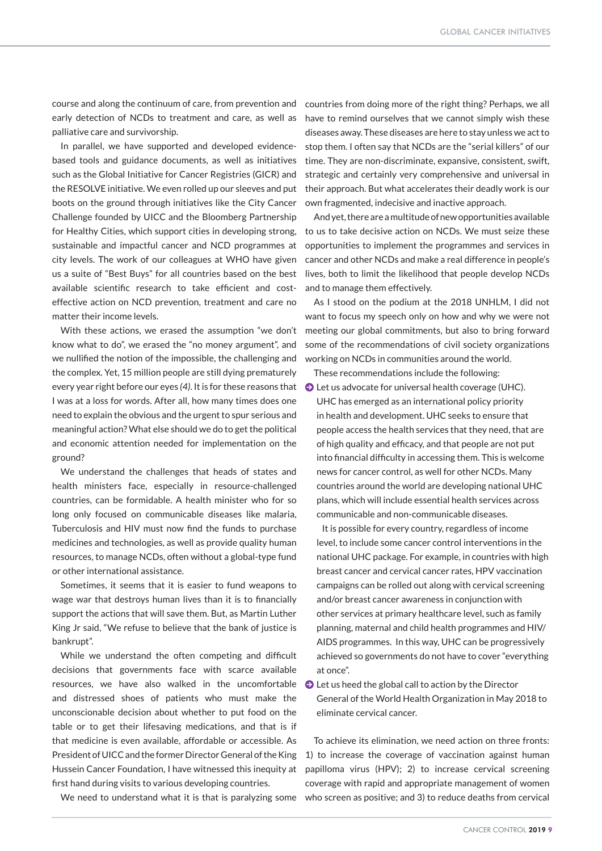course and along the continuum of care, from prevention and early detection of NCDs to treatment and care, as well as palliative care and survivorship.

In parallel, we have supported and developed evidencebased tools and guidance documents, as well as initiatives such as the Global Initiative for Cancer Registries (GICR) and the RESOLVE initiative. We even rolled up our sleeves and put boots on the ground through initiatives like the City Cancer Challenge founded by UICC and the Bloomberg Partnership for Healthy Cities, which support cities in developing strong, sustainable and impactful cancer and NCD programmes at city levels. The work of our colleagues at WHO have given us a suite of "Best Buys" for all countries based on the best available scientific research to take efficient and costeffective action on NCD prevention, treatment and care no matter their income levels.

With these actions, we erased the assumption "we don't know what to do", we erased the "no money argument", and we nullified the notion of the impossible, the challenging and the complex. Yet, 15 million people are still dying prematurely every year right before our eyes *(4)*. It is for these reasons that I was at a loss for words. After all, how many times does one need to explain the obvious and the urgent to spur serious and meaningful action? What else should we do to get the political and economic attention needed for implementation on the ground?

We understand the challenges that heads of states and health ministers face, especially in resource-challenged countries, can be formidable. A health minister who for so long only focused on communicable diseases like malaria, Tuberculosis and HIV must now find the funds to purchase medicines and technologies, as well as provide quality human resources, to manage NCDs, often without a global-type fund or other international assistance.

Sometimes, it seems that it is easier to fund weapons to wage war that destroys human lives than it is to financially support the actions that will save them. But, as Martin Luther King Jr said, "We refuse to believe that the bank of justice is bankrupt".

While we understand the often competing and difficult decisions that governments face with scarce available resources, we have also walked in the uncomfortable and distressed shoes of patients who must make the unconscionable decision about whether to put food on the table or to get their lifesaving medications, and that is if that medicine is even available, affordable or accessible. As President of UICC and the former Director General of the King Hussein Cancer Foundation, I have witnessed this inequity at first hand during visits to various developing countries.

countries from doing more of the right thing? Perhaps, we all have to remind ourselves that we cannot simply wish these diseases away. These diseases are here to stay unless we act to stop them. I often say that NCDs are the "serial killers" of our time. They are non-discriminate, expansive, consistent, swift, strategic and certainly very comprehensive and universal in their approach. But what accelerates their deadly work is our own fragmented, indecisive and inactive approach.

And yet, there are a multitude of new opportunities available to us to take decisive action on NCDs. We must seize these opportunities to implement the programmes and services in cancer and other NCDs and make a real difference in people's lives, both to limit the likelihood that people develop NCDs and to manage them effectively.

As I stood on the podium at the 2018 UNHLM, I did not want to focus my speech only on how and why we were not meeting our global commitments, but also to bring forward some of the recommendations of civil society organizations working on NCDs in communities around the world.

These recommendations include the following:  $\bullet$  Let us advocate for universal health coverage (UHC).

UHC has emerged as an international policy priority in health and development. UHC seeks to ensure that people access the health services that they need, that are of high quality and efficacy, and that people are not put into financial difficulty in accessing them. This is welcome news for cancer control, as well for other NCDs. Many countries around the world are developing national UHC plans, which will include essential health services across communicable and non-communicable diseases.

 It is possible for every country, regardless of income level, to include some cancer control interventions in the national UHC package. For example, in countries with high breast cancer and cervical cancer rates, HPV vaccination campaigns can be rolled out along with cervical screening and/or breast cancer awareness in conjunction with other services at primary healthcare level, such as family planning, maternal and child health programmes and HIV/ AIDS programmes. In this way, UHC can be progressively achieved so governments do not have to cover "everything at once".

J Let us heed the global call to action by the Director General of the World Health Organization in May 2018 to eliminate cervical cancer.

We need to understand what it is that is paralyzing some who screen as positive; and 3) to reduce deaths from cervical To achieve its elimination, we need action on three fronts: 1) to increase the coverage of vaccination against human papilloma virus (HPV); 2) to increase cervical screening coverage with rapid and appropriate management of women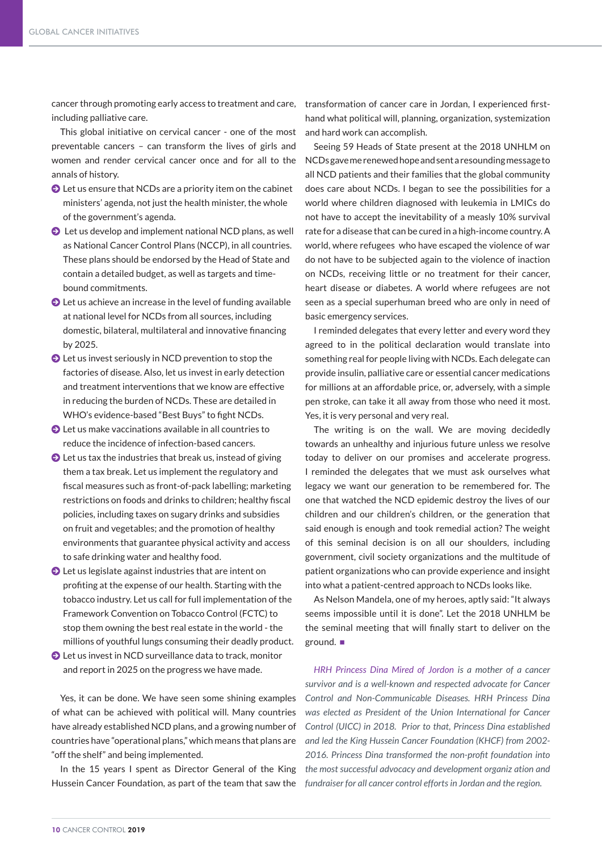cancer through promoting early access to treatment and care, transformation of cancer care in Jordan, I experienced firstincluding palliative care.

This global initiative on cervical cancer - one of the most preventable cancers – can transform the lives of girls and women and render cervical cancer once and for all to the annals of history.

- $\bigcirc$  Let us ensure that NCDs are a priority item on the cabinet ministers' agenda, not just the health minister, the whole of the government's agenda.
- $\bullet$  Let us develop and implement national NCD plans, as well as National Cancer Control Plans (NCCP), in all countries. These plans should be endorsed by the Head of State and contain a detailed budget, as well as targets and timebound commitments.
- $\bigcirc$  Let us achieve an increase in the level of funding available at national level for NCDs from all sources, including domestic, bilateral, multilateral and innovative financing by 2025.
- $\bigcirc$  Let us invest seriously in NCD prevention to stop the factories of disease. Also, let us invest in early detection and treatment interventions that we know are effective in reducing the burden of NCDs. These are detailed in WHO's evidence-based "Best Buys" to fight NCDs.
- J Let us make vaccinations available in all countries to reduce the incidence of infection-based cancers.
- $\bullet$  Let us tax the industries that break us, instead of giving them a tax break. Let us implement the regulatory and fiscal measures such as front-of-pack labelling; marketing restrictions on foods and drinks to children; healthy fiscal policies, including taxes on sugary drinks and subsidies on fruit and vegetables; and the promotion of healthy environments that guarantee physical activity and access to safe drinking water and healthy food.
- $\bullet$  Let us legislate against industries that are intent on profiting at the expense of our health. Starting with the tobacco industry. Let us call for full implementation of the Framework Convention on Tobacco Control (FCTC) to stop them owning the best real estate in the world - the millions of youthful lungs consuming their deadly product.
- $\bullet$  Let us invest in NCD surveillance data to track, monitor and report in 2025 on the progress we have made.

Yes, it can be done. We have seen some shining examples of what can be achieved with political will. Many countries have already established NCD plans, and a growing number of countries have "operational plans," which means that plans are "off the shelf" and being implemented.

Hussein Cancer Foundation, as part of the team that saw the *fundraiser for all cancer control efforts in Jordan and the region.* 

hand what political will, planning, organization, systemization and hard work can accomplish.

Seeing 59 Heads of State present at the 2018 UNHLM on NCDs gave me renewed hope and sent a resounding message to all NCD patients and their families that the global community does care about NCDs. I began to see the possibilities for a world where children diagnosed with leukemia in LMICs do not have to accept the inevitability of a measly 10% survival rate for a disease that can be cured in a high-income country. A world, where refugees who have escaped the violence of war do not have to be subjected again to the violence of inaction on NCDs, receiving little or no treatment for their cancer, heart disease or diabetes. A world where refugees are not seen as a special superhuman breed who are only in need of basic emergency services.

I reminded delegates that every letter and every word they agreed to in the political declaration would translate into something real for people living with NCDs. Each delegate can provide insulin, palliative care or essential cancer medications for millions at an affordable price, or, adversely, with a simple pen stroke, can take it all away from those who need it most. Yes, it is very personal and very real.

The writing is on the wall. We are moving decidedly towards an unhealthy and injurious future unless we resolve today to deliver on our promises and accelerate progress. I reminded the delegates that we must ask ourselves what legacy we want our generation to be remembered for. The one that watched the NCD epidemic destroy the lives of our children and our children's children, or the generation that said enough is enough and took remedial action? The weight of this seminal decision is on all our shoulders, including government, civil society organizations and the multitude of patient organizations who can provide experience and insight into what a patient-centred approach to NCDs looks like.

As Nelson Mandela, one of my heroes, aptly said: "It always seems impossible until it is done". Let the 2018 UNHLM be the seminal meeting that will finally start to deliver on the ground.

In the 15 years I spent as Director General of the King *the most successful advocacy and development organiz ation and HRH Princess Dina Mired of Jordon is a mother of a cancer survivor and is a well-known and respected advocate for Cancer Control and Non-Communicable Diseases. HRH Princess Dina was elected as President of the Union International for Cancer Control (UICC) in 2018. Prior to that, Princess Dina established and led the King Hussein Cancer Foundation (KHCF) from 2002- 2016. Princess Dina transformed the non-profit foundation into*